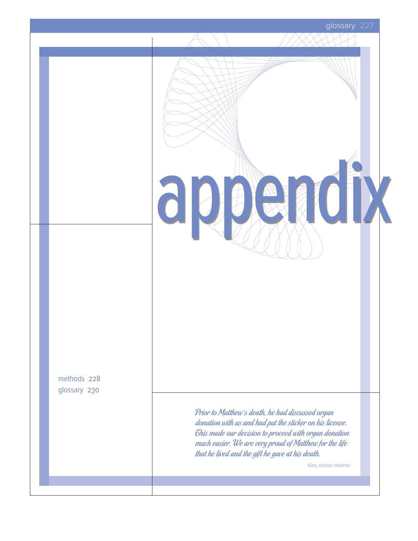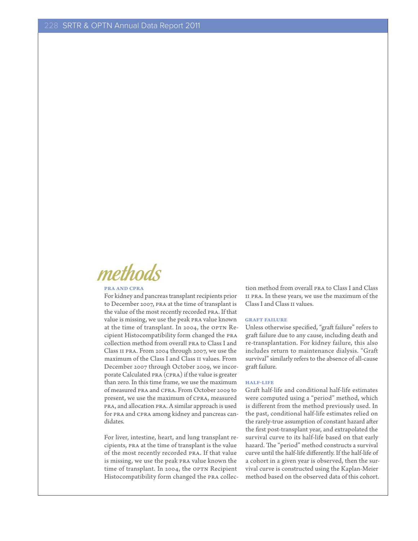

#### PRA and CPRA

For kidney and pancreas transplant recipients prior to December 2007, PRA at the time of transplant is the value of the most recently recorded PRA. If that value is missing, we use the peak PRA value known at the time of transplant. In 2004, the OPTN Recipient Histocompatibility form changed the PRA collection method from overall PRA to Class I and Class II PRA. From 2004 through 2007, we use the maximum of the Class I and Class II values. From December 2007 through October 2009, we incorporate Calculated PRA (CPRA) if the value is greater than zero. In this time frame, we use the maximum of measured PRA and CPRA. From October 2009 to present, we use the maximum of CPRA, measured PRA, and allocation PRA. A similar approach is used for PRA and CPRA among kidney and pancreas candidates.

For liver, intestine, heart, and lung transplant recipients, PRA at the time of transplant is the value of the most recently recorded PRA. If that value is missing, we use the peak PRA value known the time of transplant. In 2004, the OPTN Recipient Histocompatibility form changed the PRA collection method from overall PRA to Class I and Class II PRA. In these years, we use the maximum of the Class I and Class II values.

## Graft failure

Unless otherwise specified, "graft failure" refers to graft failure due to any cause, including death and re-transplantation. For kidney failure, this also includes return to maintenance dialysis. "Graft survival" similarly refers to the absence of all-cause graft failure.

# Half-life

Graft half-life and conditional half-life estimates were computed using a "period" method, which is different from the method previously used. In the past, conditional half-life estimates relied on the rarely-true assumption of constant hazard after the first post-transplant year, and extrapolated the survival curve to its half-life based on that early hazard. The "period" method constructs a survival curve until the half-life differently. If the half-life of a cohort in a given year is observed, then the survival curve is constructed using the Kaplan-Meier method based on the observed data of this cohort.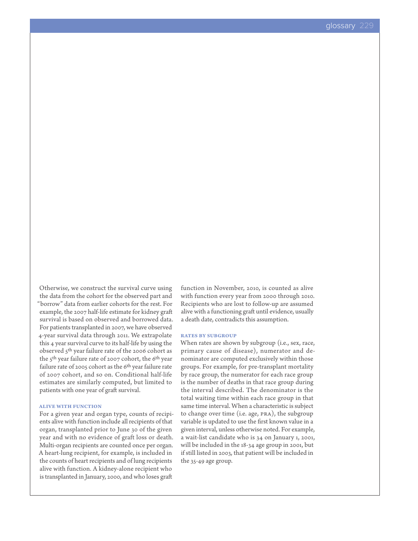Otherwise, we construct the survival curve using the data from the cohort for the observed part and "borrow" data from earlier cohorts for the rest. For example, the 2007 half-life estimate for kidney graft survival is based on observed and borrowed data. For patients transplanted in 2007, we have observed 4-year survival data through 2011. We extrapolate this 4 year survival curve to its half-life by using the observed 5th year failure rate of the 2006 cohort as the 5<sup>th</sup> year failure rate of 2007 cohort, the 6<sup>th</sup> year failure rate of 2005 cohort as the 6th year failure rate of 2007 cohort, and so on. Conditional half-life estimates are similarly computed, but limited to patients with one year of graft survival.

# Alive with function

For a given year and organ type, counts of recipients alive with function include all recipients of that organ, transplanted prior to June 30 of the given year and with no evidence of graft loss or death. Multi-organ recipients are counted once per organ. A heart-lung recipient, for example, is included in the counts of heart recipients and of lung recipients alive with function. A kidney-alone recipient who is transplanted in January, 2000, and who loses graft

function in November, 2010, is counted as alive with function every year from 2000 through 2010. Recipients who are lost to follow-up are assumed alive with a functioning graft until evidence, usually a death date, contradicts this assumption.

#### Rates by subgroup

When rates are shown by subgroup (i.e., sex, race, primary cause of disease), numerator and denominator are computed exclusively within those groups. For example, for pre-transplant mortality by race group, the numerator for each race group is the number of deaths in that race group during the interval described. The denominator is the total waiting time within each race group in that same time interval. When a characteristic is subject to change over time (i.e. age, PRA), the subgroup variable is updated to use the first known value in a given interval, unless otherwise noted. For example, a wait-list candidate who is 34 on January 1, 2001, will be included in the 18-34 age group in 2001, but if still listed in 2003, that patient will be included in the 35-49 age group.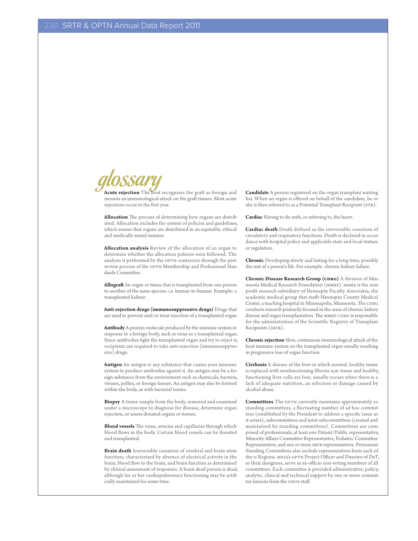

mounts an immunological attack on the graft tissues. Most acute rejections occur in the first year.

**Allocation** The process of determining how organs are distributed. Allocation includes the system of policies and guidelines, which ensure that organs are distributed in an equitable, ethical and medically sound manner.

**Allocation analysis** Review of the allocation of an organ to determine whether the allocation policies were followed. The analysis is performed by the OPTN contractor through the peer review process of the OPTN Membership and Professional Standards Committee.

**Allograft** An organ or tissue that is transplanted from one person to another of the same species: i.e. human-to-human. Example: a transplanted kidney.

**Anti-rejection drugs (immunosuppressive drugs)** Drugs that are used to prevent and/or treat rejection of a transplanted organ.

**Antibody** A protein molecule produced by the immune system in response to a foreign body, such as virus or a transplanted organ. Since antibodies fight the transplanted organ and try to reject it, recipients are required to take anti-rejection (immunosuppressive) drugs.

**Antigen** An antigen is any substance that causes your immune system to produce antibodies against it. An antigen may be a foreign substance from the environment such as chemicals, bacteria, viruses, pollen, or foreign tissues. An antigen may also be formed within the body, as with bacterial toxins.

**Biopsy** A tissue sample from the body, removed and examined under a microscope to diagnose for disease, determine organ rejection, or assess donated organs or tissues.

**Blood vessels** The veins, arteries and capillaries through which blood flows in the body. Certain blood vessels can be donated and transplanted.

**Brain death** Irreversible cessation of cerebral and brain stem function; characterized by absence of electrical activity in the brain, blood flow to the brain, and brain function as determined by clinical assessment of responses. A brain dead person is dead, although his or her cardiopulmonary functioning may be artificially maintained for some time.

**Candidate** A person registered on the organ transplant waiting list. When an organ is offered on behalf of the candidate, he or she is then referred to as a Potential Transplant Recipient (PTR).

**Cardiac** Having to do with, or referring to, the heart.

**Cardiac death** Death defined as the irreversible cessation of circulatory and respiratory functions. Death is declared in accordance with hospital policy and applicable state and local statues or regulation.

**Chronic** Developing slowly and lasting for a long time, possibly the rest of a person's life. For example: chronic kidney failure.

**Chronic Disease Research Group (CDRG)** A division of Minnesota Medical Research Foundation (MMRF). MMRF is the nonprofit research subsidiary of Hennepin Faculty Associates, the academic medical group that staffs Hennepin County Medical Center, a teaching hospital in Minneapolis, Minnesota. The CDRG conducts research primarily focused in the areas of chronic kidney disease and organ transplantation. The MMRF-CDRG is responsible for the administration of the Scientific Registry of Transplant Recipients (SRTR).

**Chronic rejection** Slow, continuous immunological attack of the host immune system on the transplanted organ usually resulting in progressive loss of organ function.

**Cirrhosis** A disease of the liver in which normal, healthy tissue is replaced with nonfunctioning fibrous scar tissue and healthy, functioning liver cells are lost; usually occurs when there is a lack of adequate nutrition, an infection or damage caused by alcohol abuse.

**Committees** The OPTN currently maintains approximately 20 standing committees, a fluctuating number of ad hoc committees (established by the President to address a specific issue as it arises), subcommittees and joint subcommittees (created and maintained by standing committees). Committees are comprised of professionals, at least one Patient/Public representative, Minority Affairs Committee Representative, Pediatric Committee Representative, and one or more SRTR representatives. Permanent Standing Committees also include representatives form each of the 11 Regions. HRSA's OPTN Project Officer and Director of DoT, or their designees, serve as ex-officio non-voting members of all committees. Each committee is provided administrative, policy, analytic, clinical and technical support by one or more committee liaisons from the UNOS staff.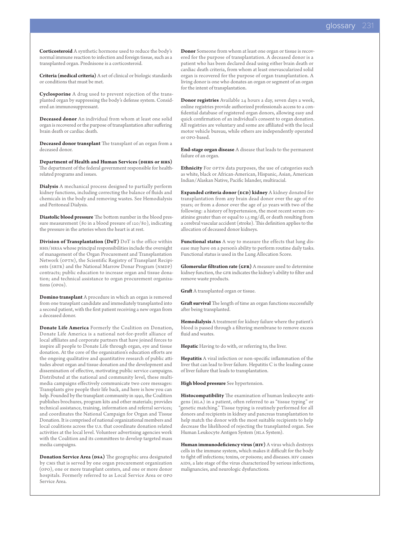**Corticosteroid** A synthetic hormone used to reduce the body's normal immune reaction to infection and foreign tissue, such as a transplanted organ. Prednisone is a corticosteroid.

**Criteria (medical criteria)** A set of clinical or biologic standards or conditions that must be met.

**Cyclosporine** A drug used to prevent rejection of the transplanted organ by suppressing the body's defense system. Considered an immunosuppressant.

**Deceased donor** An individual from whom at least one solid organ is recovered or the purpose of transplantation after suffering brain death or cardiac death.

**Deceased donor transplant** The transplant of an organ from a deceased donor.

**Department of Health and Human Services (DHHS or HHS)** The department of the federal government responsible for healthrelated programs and issues.

**Dialysis** A mechanical process designed to partially perform kidney functions, including correcting the balance of fluids and chemicals in the body and removing wastes. See Hemodialysis and Peritoneal Dialysis.

**Diastolic blood pressure** The bottom number in the blood pressure measurement (80 in a blood presure of 120/80), indicating the pressure in the arteries when the heart is at rest.

**Division of Transplantation (DoT)** DoT is the office within HHS/HRSA whose principal responsibilities include the oversight of management of the Organ Procurement and Transplantation Network (OPTN), the Scientific Registry of Transplant Recipients (SRTR) and the National Marrow Donar Program (NMDP) contracts; public education to increase organ and tissue donation; and technical assistance to organ procurement organizations (OPOs).

**Domino transplant** A procedure in which an organ is removed from one transplant candidate and immediately transplanted into a second patient, with the first patient receiving a new organ from a deceased donor.

**Donate Life America** Formerly the Coalition on Donation, Donate Life America is a national not-for-profit alliance of local affiliates and corporate partners that have joined forces to inspire all people to Donate Life through organ, eye and tissue donation. At the core of the organization's education efforts are the ongoing qualitative and quantitative research of public attitudes about organ and tissue donation and the development and dissemination of effective, motivating public service campaigns. Distributed at the national and community level, these multimedia campaigns effectively communicate two core messages: Transplants give people their life back, and here is how you can help. Founded by the transplant community in 1992, the Coalition publishes brochures, program kits and other materials; provides technical assistance, training, information and referral services; and coordinates the National Campaign for Organ and Tissue Donation. It is comprised of national organizational members and local coalitions across the U.S. that coordinate donation related activities at the local level. Volunteer advertising agencies work with the Coalition and its committees to develop targeted mass media campaigns.

**Donation Service Area (DSA)** The geographic area designated by CMS that is served by one organ procurement organization (OPO), one or more transplant centers, and one or more donor hospitals. Formerly referred to as Local Service Area or OPO Service Area.

**Donor** Someone from whom at least one organ or tissue is recovered for the purpose of transplantation. A deceased donor is a patient who has been declared dead using either brain death or cardiac death criteria, from whom at least onevascularized solid organ is recovered for the purpose of organ transplantation. A living donor is one who donates an organ or segment of an organ for the intent of transplantation.

**Donor registries** Available 24 hours a day, seven days a week, online registries provide authorized professionals access to a confidential database of registered organ donors, allowing easy and quick confirmation of an individual's consent to organ donation. All registries are voluntary and some are affiliated with the local motor vehicle bureau, while others are independently operated or OPO-based.

**End-stage organ disease** A disease that leads to the permanent failure of an organ.

**Ethnicity** For OPTN data purposes, the use of categories such as white, black or African-American, Hispanic, Asian, American Indian/Alaskan Native, Pacific Islander, multiracial.

**Expanded criteria donor (ECD) kidney** A kidney donated for transplantation from any brain dead donor over the age of 60 years; or from a donor over the age of 50 years with two of the following: a history of hypertension, the most recent serum creatinine greater than or equal to 1.5 mg/dl, or death resulting from a cerebral vascular accident (stroke). This definition applies to the allocation of deceased donor kidneys.

**Functional status** A way to measure the effects that lung disease may have on a person's ability to perform routine daily tasks. Functional status is used in the Lung Allocation Score.

**Glomerular filtration rate (GFR)** A measure used to determine kidney function, the GFR indicates the kidney's ability to filter and remove waste products.

**Graft** A transplanted organ or tissue.

**Graft survival** The length of time an organ functions successfully after being transplanted.

**Hemodialysis** A treatment for kidney failure where the patient's blood is passed through a filtering membrane to remove excess fluid and wastes.

**Hepatic** Having to do with, or referring to, the liver.

**Hepatitis** A viral infection or non-specific inflammation of the liver that can lead to liver failure. Hepatitis C is the leading cause of liver failure that leads to transplantation.

**High blood pressure** See hypertension.

**Histocompatibility** The examination of human leukocyte antigens (HLA) in a patient, often referred to as "tissue typing" or "genetic matching." Tissue typing is routinely performed for all donors and recipients in kidney and pancreas transplantation to help match the donor with the most suitable recipients to help decrease the likelihood of rejecting the transplanted organ. See Human Leukocyte Antigen System (HLA System).

**Human immunodeficiency virus (HIV)** A virus which destroys cells in the immune system, which makes it difficult for the body to fight off infections; toxins, or poisons; and diseases. HIV causes AIDS, a late stage of the virus characterized by serious infections, malignancies, and neurologic dysfunctions.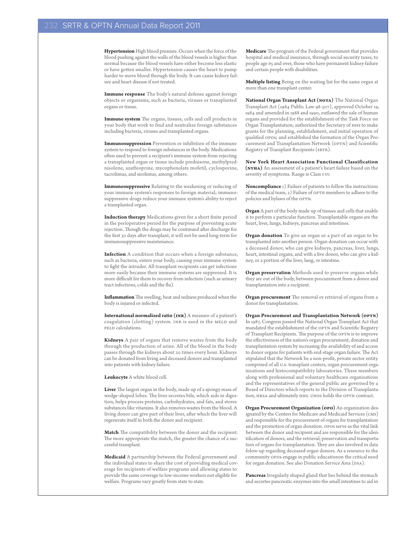**Hypertension** High blood pressure. Occurs when the force of the blood pushing against the walls of the blood vessels is higher than normal because the blood vessels have either become less elastic or have gotten smaller. Hypertension causes the heart to pump harder to move blood through the body. It can cause kidney failure and heart disease if not treated.

**Immune response** The body's natural defense against foreign objects or organisms, such as bacteria, viruses or transplanted organs or tissue.

**Immune system** The organs, tissues, cells and cell products in your body that work to find and neutralize foreign substances including bacteria, viruses and transplanted organs.

**Immunosuppression** Prevention or inhibition of the immune system to respond to foreign substances in the body. Medications often used to prevent a recipient's immune system from rejecting a transplanted organ or tissue include prednisone, methylprednisolone, azathioprine, mycophenolate mofetil, cyclosporine, tacrolimus, and sirolimus, among others.

**Immunosuppressive** Relating to the weakening or reducing of your immune system's responses to foreign material; immunosuppressive drugs reduce your immune system's ability to reject a transplanted organ.

**Induction therapy** Medications given for a short finite period in the perioperative period for the purpose of preventing acute rejection. Though the drugs may be continued after discharge for the first 30 days after transplant, it will not be used long-term for immunosuppressive maintenance.

**Infection** A condition that occurs when a foreign substance, such as bacteria, enters your body, causing your immune system to fight the intruder. All transplant recipients can get infections more easily because their immune systems are suppressed. It is more difficult for them to recover from infection (such as urinary tract infections, colds and the flu).

**Inflammation** The swelling, heat and redness produced when the body is injured or infected.

**International normalized ratio (INR)** A measure of a patient's coagulation (clotting) system. INR is used in the MELD and PELD calculations.

**Kidneys** A pair of organs that remove wastes from the body through the production of urine. All of the blood in the body passes through the kidneys about 20 times every hour. Kidneys can be donated from living and deceased donors and transplanted into patients with kidney failure.

**Leukocyte** A white blood cell.

**Liver** The largest organ in the body, made up of a spongy mass of wedge-shaped lobes. The liver secretes bile, which aids in digestion, helps process proteins, carbohydrates, and fats, and stores substances like vitamins. It also removes wastes from the blood. A living donor can give part of their liver, after which the liver will regenerate itself in both the donor and recipient.

**Match** The compatibility between the donor and the recipient. The more appropriate the match, the greater the chance of a successful transplant.

**Medicaid** A partnership between the Federal government and the individual states to share the cost of providing medical coverage for recipients of welfare programs and allowing states to provide the same coverage to low-income workers not eligible for welfare. Programs vary greatly from state to state.

**Medicare** The program of the Federal government that provides hospital and medical insurance, through social security taxes, to people age 65 and over, those who have permanent kidney failure and certain people with disabilities.

**Multiple listing** Being on the waiting list for the same organ at more than one transplant center.

**National Organ Transplant Act (NOTA)** The National Organ Transplant Act (1984 Public Law 98-507), approved October 19, 1984 and amended in 1988 and 1990, outlawed the sale of human organs and provided for the establishment of the Task Force on Organ Transplantation; authorized the Secretary of HHS to make grants for the planning, establishment, and initial operation of qualified OPOs; and established the formation of the Organ Procurement and Transplantation Network (OPTN) and Scientific Registry of Transplant Recipients (SRTR).

**New York Heart Association Functional Classification (NYHA)** An assessment of a patient's heart failure based on the severity of symptoms. Range is Class I-IV.

**Noncompliance** 1) Failure of patients to follow the instructions of the medical team, 2) Failure of OPTN members to adhere to the policies and bylaws of the OPTN.

**Organ** A part of the body made up of tissues and cells that enable it to perform a particular function. Transplantable organs are the heart, liver, lungs, kidneys, pancreas and intestines.

**Organ donation** To give an organ or a part of an organ to be transplanted into another person. Organ donation can occur with a deceased donor, who can give kidneys, pancreas, liver, lungs, heart, intestinal organs, and with a live donor, who can give a kidney, or a portion of the liver, lung, or intestine.

**Organ preservation** Methods used to preserve organs while they are out of the body, between procurement from a donor and transplantation into a recipient.

**Organ procurement** The removal or retrieval of organs from a donor for transplantation.

**Organ Procurement and Transplantation Network (OPTN)** In 1987, Congress passed the National Organ Transplant Act that mandated the establishment of the OPTN and Scientific Registry of Transplant Recipients. The purpose of the OPTN is to improve the effectiveness of the nation's organ procurement, donation and transplantation system by increasing the availability of and access to donor organs for patients with end-stage organ failure. The Act stipulated that the Network be a non-profit, private sector entity comprised of all U.S. transplant centers, organ procurement organizations and histocompatibility laboratories. These members along with professional and voluntary healthcare organizations and the representatives of the general public are governed by a Board of Directors which reports to the Division of Transplantation, HRSA and ultimately HHS. UNOS holds the OPTN contract.

**Organ Procurement Organization (OPO)** An organization designated by the Centers for Medicare and Medicaid Services (CMS) and responsible for the procurement of organs for transplantation and the promotion of organ donation. OPOs serve as the vital link between the donor and recipient and are responsible for the identification of donors, and the retrieval, preservation and transportation of organs for transplantation. They are also involved in data folow-up regarding deceased organ donors. As a resource to the community OPOs engage in public educationon the critical need for organ donation. See also Donation Service Area (DSA).

**Pancreas** Irregularly shaped gland that lies behind the stomach and secretes pancreatic enzymes into the small intestines to aid in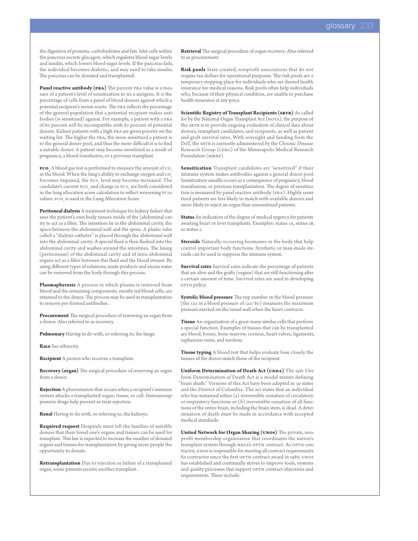the digestion of proteins, carbohydrates and fats. Islet cells within the pancreas secrete glucagon, which regulates blood sugar levels and insulin, which lowers blood sugar levels. If the pancreas fails, the individual becomes diabetic, and may need to take insulin. The pancreas can be donated and transplanted.

Panel reactive antibody (PRA) The percent PRA value is a measure of a patient's level of sensitization to HLA antigens. It is the percentage of cells from a panel of blood donors against which a potential recipient's serum reacts. The PRA reflects the percentage of the general population that a potential recipient makes antibodies (is sensitized) against. For example, a patient with a PRA of 80 percent will be incompatible with 80 percent of potential donors. Kidney patients with a high PRA are given priority on the waiting list. The higher the PRA, the more sensitized a patient is to the general donor pool, and thus the more difficult it is to find a suitable donor. A patient may become sensitized as a result of pregnancy, a blood transfusion, or a previous transplant.

**PCO** A blood gas test is performed to measure the amount of CO<sub>2</sub> in the blood. When the lung's ability to exchange oxygen and CO<sub>2</sub> becomes impaired, the PCo<sub>2</sub> level may become increased. The candidate's current PCo<sub>2</sub> and change in PCo<sub>2</sub> are both considered in the lung allocation score calculation to reflect worsening PC02 values.  $\text{PCO}_2^{\phantom{\dagger}}$  is used in the Lung Allocation Score.

**Peritoneal dialysis** A treatment technique for kidney failure that uses the patient's own body tissues inside of the (abdominal cavity to act as a filter. The intestines lie in the abdominal cavity, the space between the abdominal wall and the spine. A plastic tube called a "dialysis catheter" is placed through the abdominal wall into the abdominal cavity. A special fluid is then flushed into the abdominal cavity and washes around the intestines. The lining (peritoneum) of the abdominal cavity and of intra-abdominal organs act as a filter between this fluid and the blood stream. By using different types of solutions, waste products and excess water can be removed from the body through this process.

**Plasmapheresis** A process in which plasma is removed from blood and the remaining components, mostly red blood cells, are returned to the donor. The process may be used in transplantation to remove pre-formed antibodies.

**Procurement** The surgical procedure of removing an organ from a donor. Also referred to as recovery.

**Pulmonary** Having to do with, or referring to, the lungs.

**Race** See ethnicity.

**Recipient** A person who receives a transplant.

**Recovery (organ)** The surgical procedure of removing an organ from a donor.

**Rejection** A phenomenon that occurs when a recipient's immune system attacks a transplanted organ, tissue, or cell. Immunosuppressive drugs help prevent or treat rejection.

**Renal** Having to do with, or referring to, the kidneys.

**Required request** Hospitals must tell the families of suitable donors that their loved one's organs and tissues can be used for transplant. This law is expected to increase the number of donated organs and tissues for transplantation by giving more people the opportunity to donate.

**Retransplantation** Due to rejection or failure of a transplanted organ, some patients receive another transplant.

**Retrieval** The surgical procedure of organ recovery. Also referred to as procurement.

**Risk pools** State-created, nonprofit associations that do not require tax dollars for operational purposes. The risk pools are a temporary stopping place for individuals who are denied health insurance for medical reasons. Risk pools often help individuals who, because of their physical condition, are unable to purchase health insurance at any price.

**Scientific Registry of Transplant Recipients (SRTR)** As called for by the National Organ Transplant Act (NOTA), the purpose of the SRTR is to provide ongoing evaluation of clinical data about donors, transplant candidates, and recipients, as well as patient and graft survival rates. With oversight and funding from the DoT, the SRTR is currently administered by the Chronic Disease Research Group (CDRG) of the Minneapolis Medical Research Foundation (MMRF).

**Sensitization** Transplant candidates are "sensitized" if their immune system makes antibodies against a general donor pool. Sensitization usually occurs as a consequence of pregnancy, blood transfusions, or previous transplantation. The degree of sensitization is measured by panel reactive antibody (PRA). Highly sensitized patients are less likely to match with available donors and more likely to reject an organ than unsensitized patients.

**Status** An indication of the degree of medical urgency for patients awaiting heart or liver transplants. Examples: status 1A, status 1B, or status 2.

**Steroids** Naturally occurring hormones in the body that help control important body functions. Synthetic or man-made steroids can be used to suppress the immune system.

**Survival rates** Survival rates indicate the percentage of patients that are alive and the grafts (organs) that are still functioning after a certain amount of time. Survival rates are used in developing OPTN policy.

**Systolic blood pressure** The top number in the blood pressure (the 120 in a blood pressure of 120/80) measures the maximum pressure exerted on the vessel wall when the heart contracts.

**Tissue** An organization of a great many similar cells that perform a special function. Examples of tissues that can be transplanted are blood, bones, bone marrow, corneas, heart valves, ligaments, saphenous veins, and tendons.

**Tissue typing** A blood test that helps evaluate how closely the tissues of the donor match those of the recipient.

**Uniform Determination of Death Act (UDDA)** The 1981 Uniform Determination of Death Act is a model statute defining "brain death." Versions of this Act have been adopted in 39 states and the District of Columbia. The act states that an individual who has sustained either (a) irreversible cessation of circulatory or respiratory functions or (b) irreversible cessation of all functions of the entire brain, including the brain stem, is dead. A determination of death must be made in accordance with accepted medical standards.

**United Network for Organ Sharing (UNOS)** The private, nonprofit membership organization that coordinates the nation's transplant system through HRSA's OPTN contract. As OPTN contractor, UNOS is responsible for meeting all contract requirements. As contractor since the first OPTN contract award in 1986, UNOS has established and continually strives to improve tools, systems and quality processes that support OPTN contract objectives and requirements. These include: